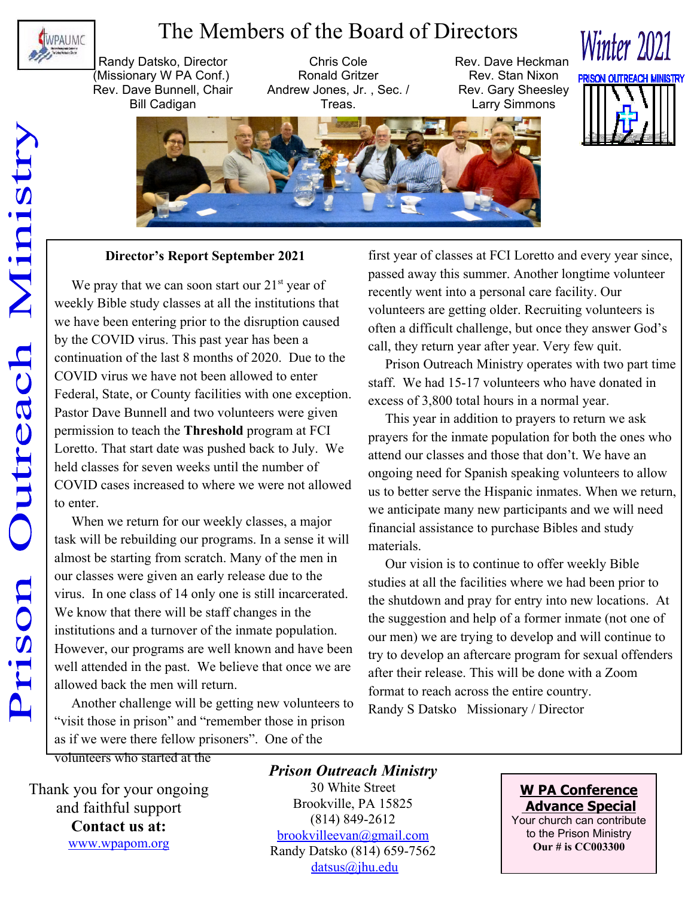

## The Members of the Board of Directors

Randy Datsko, Director (Missionary W PA Conf.) Rev. Dave Bunnell, Chair Bill Cadigan

Chris Cole Ronald Gritzer Andrew Jones, Jr. , Sec. / Treas.

Rev. Dave Heckman Rev. Stan Nixon Rev. Gary Sheesley Larry Simmons



**Winter 2021** 



### **Director's Report September 2021**

We pray that we can soon start our  $21<sup>st</sup>$  year of weekly Bible study classes at all the institutions that we have been entering prior to the disruption caused by the COVID virus. This past year has been a continuation of the last 8 months of 2020. Due to the COVID virus we have not been allowed to enter Federal, State, or County facilities with one exception. Pastor Dave Bunnell and two volunteers were given permission to teach the **Threshold** program at FCI Loretto. That start date was pushed back to July. We held classes for seven weeks until the number of COVID cases increased to where we were not allowed to enter.

 When we return for our weekly classes, a major task will be rebuilding our programs. In a sense it will almost be starting from scratch. Many of the men in our classes were given an early release due to the virus. In one class of 14 only one is still incarcerated. We know that there will be staff changes in the institutions and a turnover of the inmate population. However, our programs are well known and have been well attended in the past. We believe that once we are allowed back the men will return.

 Another challenge will be getting new volunteers to "visit those in prison" and "remember those in prison as if we were there fellow prisoners". One of the

first year of classes at FCI Loretto and every year since, passed away this summer. Another longtime volunteer recently went into a personal care facility. Our volunteers are getting older. Recruiting volunteers is often a difficult challenge, but once they answer God's call, they return year after year. Very few quit.

 Prison Outreach Ministry operates with two part time staff. We had 15-17 volunteers who have donated in excess of 3,800 total hours in a normal year.

 This year in addition to prayers to return we ask prayers for the inmate population for both the ones who attend our classes and those that don't. We have an ongoing need for Spanish speaking volunteers to allow us to better serve the Hispanic inmates. When we return, we anticipate many new participants and we will need financial assistance to purchase Bibles and study materials.

 Our vision is to continue to offer weekly Bible studies at all the facilities where we had been prior to the shutdown and pray for entry into new locations. At the suggestion and help of a former inmate (not one of our men) we are trying to develop and will continue to try to develop an aftercare program for sexual offenders after their release. This will be done with a Zoom format to reach across the entire country. Randy S Datsko Missionary / Director

volunteers who started at the

Thank you for your ongoing and faithful support **Contact us at:** www.wpapom.org

### *Prison Outreach Ministry* 30 White Street Brookville, PA 15825

(814) 849-2612 brookvilleevan@gmail.com Randy Datsko (814) 659-7562 datsus@jhu.edu

**W PA Conference Advance Special** Your church can contribute to the Prison Ministry

**Our # is CC003300**

Outreach Ministr Prison